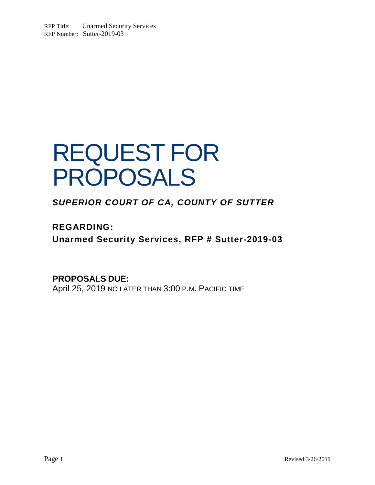RFP Title: Unarmed Security Services RFP Number: Sutter-2019-03

# REQUEST FOR PROPOSALS

*SUPERIOR COURT OF CA, COUNTY OF SUTTER*

**REGARDING: Unarmed Security Services, RFP # Sutter-2019-03**

**PROPOSALS DUE:**  April 25, 2019 NO LATER THAN 3:00 P.M. PACIFIC TIME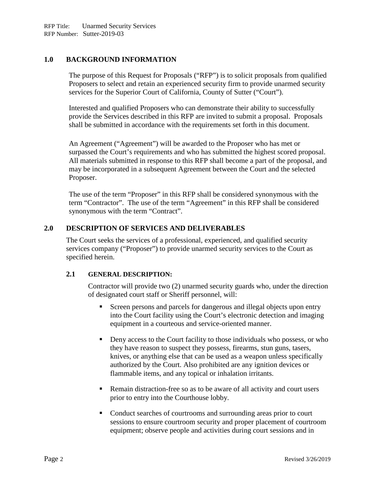## **1.0 BACKGROUND INFORMATION**

The purpose of this Request for Proposals ("RFP") is to solicit proposals from qualified Proposers to select and retain an experienced security firm to provide unarmed security services for the Superior Court of California, County of Sutter ("Court").

Interested and qualified Proposers who can demonstrate their ability to successfully provide the Services described in this RFP are invited to submit a proposal. Proposals shall be submitted in accordance with the requirements set forth in this document.

An Agreement ("Agreement") will be awarded to the Proposer who has met or surpassed the Court's requirements and who has submitted the highest scored proposal. All materials submitted in response to this RFP shall become a part of the proposal, and may be incorporated in a subsequent Agreement between the Court and the selected Proposer.

The use of the term "Proposer" in this RFP shall be considered synonymous with the term "Contractor". The use of the term "Agreement" in this RFP shall be considered synonymous with the term "Contract".

#### **2.0 DESCRIPTION OF SERVICES AND DELIVERABLES**

The Court seeks the services of a professional, experienced, and qualified security services company ("Proposer") to provide unarmed security services to the Court as specified herein.

#### **2.1 GENERAL DESCRIPTION:**

Contractor will provide two (2) unarmed security guards who, under the direction of designated court staff or Sheriff personnel, will:

- Screen persons and parcels for dangerous and illegal objects upon entry into the Court facility using the Court's electronic detection and imaging equipment in a courteous and service-oriented manner.
- Deny access to the Court facility to those individuals who possess, or who they have reason to suspect they possess, firearms, stun guns, tasers, knives, or anything else that can be used as a weapon unless specifically authorized by the Court. Also prohibited are any ignition devices or flammable items, and any topical or inhalation irritants.
- Remain distraction-free so as to be aware of all activity and court users prior to entry into the Courthouse lobby.
- Conduct searches of courtrooms and surrounding areas prior to court sessions to ensure courtroom security and proper placement of courtroom equipment; observe people and activities during court sessions and in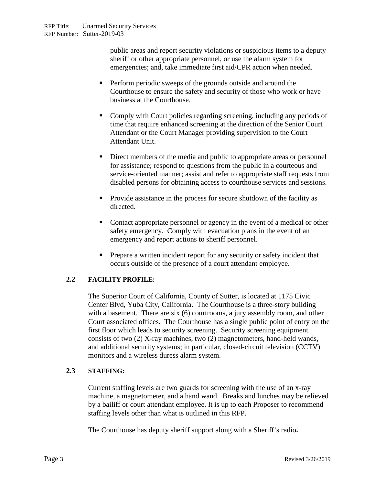public areas and report security violations or suspicious items to a deputy sheriff or other appropriate personnel, or use the alarm system for emergencies; and, take immediate first aid/CPR action when needed.

- **Perform periodic sweeps of the grounds outside and around the** Courthouse to ensure the safety and security of those who work or have business at the Courthouse.
- Comply with Court policies regarding screening, including any periods of time that require enhanced screening at the direction of the Senior Court Attendant or the Court Manager providing supervision to the Court Attendant Unit.
- Direct members of the media and public to appropriate areas or personnel for assistance; respond to questions from the public in a courteous and service-oriented manner; assist and refer to appropriate staff requests from disabled persons for obtaining access to courthouse services and sessions.
- **Provide assistance in the process for secure shutdown of the facility as** directed.
- Contact appropriate personnel or agency in the event of a medical or other safety emergency. Comply with evacuation plans in the event of an emergency and report actions to sheriff personnel.
- **Prepare a written incident report for any security or safety incident that** occurs outside of the presence of a court attendant employee.

## **2.2 FACILITY PROFILE:**

The Superior Court of California, County of Sutter, is located at 1175 Civic Center Blvd, Yuba City, California. The Courthouse is a three-story building with a basement. There are six (6) courtrooms, a jury assembly room, and other Court associated offices. The Courthouse has a single public point of entry on the first floor which leads to security screening. Security screening equipment consists of two (2) X-ray machines, two (2) magnetometers, hand-held wands, and additional security systems; in particular, closed-circuit television (CCTV) monitors and a wireless duress alarm system.

#### **2.3 STAFFING:**

Current staffing levels are two guards for screening with the use of an x-ray machine, a magnetometer, and a hand wand. Breaks and lunches may be relieved by a bailiff or court attendant employee. It is up to each Proposer to recommend staffing levels other than what is outlined in this RFP.

The Courthouse has deputy sheriff support along with a Sheriff's radio**.**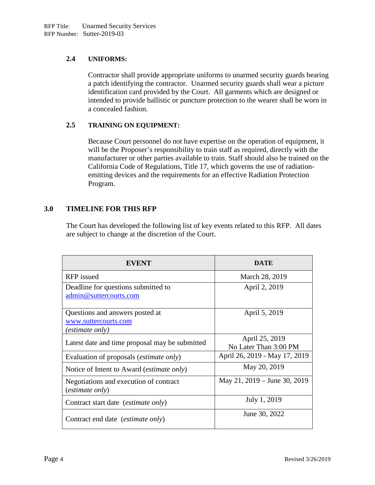## **2.4 UNIFORMS:**

Contractor shall provide appropriate uniforms to unarmed security guards bearing a patch identifying the contractor. Unarmed security guards shall wear a picture identification card provided by the Court. All garments which are designed or intended to provide ballistic or puncture protection to the wearer shall be worn in a concealed fashion.

## **2.5 TRAINING ON EQUIPMENT:**

Because Court personnel do not have expertise on the operation of equipment, it will be the Proposer's responsibility to train staff as required, directly with the manufacturer or other parties available to train. Staff should also be trained on the California Code of Regulations, Title 17, which governs the use of radiationemitting devices and the requirements for an effective Radiation Protection Program.

## **3.0 TIMELINE FOR THIS RFP**

The Court has developed the following list of key events related to this RFP. All dates are subject to change at the discretion of the Court.

| <b>EVENT</b>                                       | DATE                          |
|----------------------------------------------------|-------------------------------|
| RFP issued                                         | March 28, 2019                |
| Deadline for questions submitted to                | April 2, 2019                 |
| admin@suttercourts.com                             |                               |
| Questions and answers posted at                    | April 5, 2019                 |
| www.suttercourts.com                               |                               |
| (estimate only)                                    |                               |
| Latest date and time proposal may be submitted     | April 25, 2019                |
|                                                    | No Later Than 3:00 PM         |
| Evaluation of proposals ( <i>estimate only</i> )   | April 26, 2019 - May 17, 2019 |
| Notice of Intent to Award ( <i>estimate only</i> ) | May 20, 2019                  |
| Negotiations and execution of contract             | May 21, 2019 – June 30, 2019  |
| <i>(estimate only)</i>                             |                               |
| Contract start date (estimate only)                | July 1, 2019                  |
| Contract end date <i>(estimate only)</i>           | June 30, 2022                 |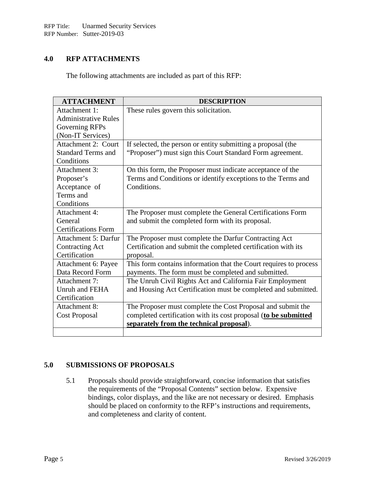## **4.0 RFP ATTACHMENTS**

The following attachments are included as part of this RFP:

| <b>ATTACHMENT</b>           | <b>DESCRIPTION</b>                                                |
|-----------------------------|-------------------------------------------------------------------|
| Attachment 1:               | These rules govern this solicitation.                             |
| <b>Administrative Rules</b> |                                                                   |
| Governing RFPs              |                                                                   |
| (Non-IT Services)           |                                                                   |
| <b>Attachment 2: Court</b>  | If selected, the person or entity submitting a proposal (the      |
| <b>Standard Terms and</b>   | "Proposer") must sign this Court Standard Form agreement.         |
| Conditions                  |                                                                   |
| Attachment 3:               | On this form, the Proposer must indicate acceptance of the        |
| Proposer's                  | Terms and Conditions or identify exceptions to the Terms and      |
| Acceptance of               | Conditions.                                                       |
| Terms and                   |                                                                   |
| Conditions                  |                                                                   |
| Attachment 4:               | The Proposer must complete the General Certifications Form        |
| General                     | and submit the completed form with its proposal.                  |
| <b>Certifications Form</b>  |                                                                   |
| <b>Attachment 5: Darfur</b> | The Proposer must complete the Darfur Contracting Act             |
| <b>Contracting Act</b>      | Certification and submit the completed certification with its     |
| Certification               | proposal.                                                         |
| Attachment 6: Payee         | This form contains information that the Court requires to process |
| Data Record Form            | payments. The form must be completed and submitted.               |
| Attachment 7:               | The Unruh Civil Rights Act and California Fair Employment         |
| Unruh and FEHA              | and Housing Act Certification must be completed and submitted.    |
| Certification               |                                                                   |
| Attachment 8:               | The Proposer must complete the Cost Proposal and submit the       |
| Cost Proposal               | completed certification with its cost proposal (to be submitted   |
|                             | separately from the technical proposal).                          |
|                             |                                                                   |

## **5.0 SUBMISSIONS OF PROPOSALS**

5.1 Proposals should provide straightforward, concise information that satisfies the requirements of the "Proposal Contents" section below. Expensive bindings, color displays, and the like are not necessary or desired. Emphasis should be placed on conformity to the RFP's instructions and requirements, and completeness and clarity of content.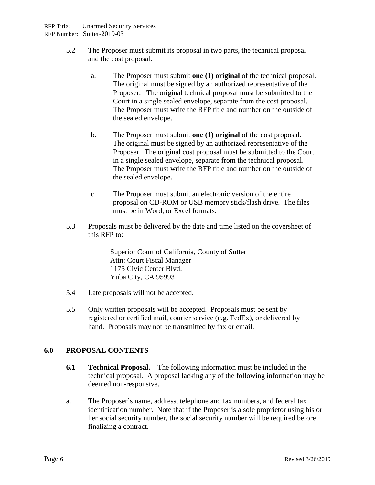- 5.2 The Proposer must submit its proposal in two parts, the technical proposal and the cost proposal.
	- a. The Proposer must submit **one (1) original** of the technical proposal. The original must be signed by an authorized representative of the Proposer. The original technical proposal must be submitted to the Court in a single sealed envelope, separate from the cost proposal. The Proposer must write the RFP title and number on the outside of the sealed envelope.
	- b. The Proposer must submit **one (1) original** of the cost proposal. The original must be signed by an authorized representative of the Proposer. The original cost proposal must be submitted to the Court in a single sealed envelope, separate from the technical proposal. The Proposer must write the RFP title and number on the outside of the sealed envelope.
	- c. The Proposer must submit an electronic version of the entire proposal on CD-ROM or USB memory stick/flash drive. The files must be in Word, or Excel formats.
- 5.3 Proposals must be delivered by the date and time listed on the coversheet of this RFP to:

Superior Court of California, County of Sutter Attn: Court Fiscal Manager 1175 Civic Center Blvd. Yuba City, CA 95993

- 5.4 Late proposals will not be accepted.
- 5.5 Only written proposals will be accepted. Proposals must be sent by registered or certified mail, courier service (e.g. FedEx), or delivered by hand. Proposals may not be transmitted by fax or email.

## **6.0 PROPOSAL CONTENTS**

- **6.1 Technical Proposal.** The following information must be included in the technical proposal. A proposal lacking any of the following information may be deemed non-responsive.
- a. The Proposer's name, address, telephone and fax numbers, and federal tax identification number. Note that if the Proposer is a sole proprietor using his or her social security number, the social security number will be required before finalizing a contract.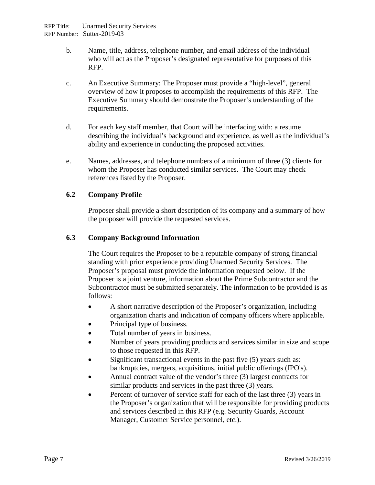- b. Name, title, address, telephone number, and email address of the individual who will act as the Proposer's designated representative for purposes of this RFP.
- c. An Executive Summary: The Proposer must provide a "high-level", general overview of how it proposes to accomplish the requirements of this RFP. The Executive Summary should demonstrate the Proposer's understanding of the requirements.
- d. For each key staff member, that Court will be interfacing with: a resume describing the individual's background and experience, as well as the individual's ability and experience in conducting the proposed activities.
- e. Names, addresses, and telephone numbers of a minimum of three (3) clients for whom the Proposer has conducted similar services. The Court may check references listed by the Proposer.

## **6.2 Company Profile**

Proposer shall provide a short description of its company and a summary of how the proposer will provide the requested services.

#### **6.3 Company Background Information**

The Court requires the Proposer to be a reputable company of strong financial standing with prior experience providing Unarmed Security Services. The Proposer's proposal must provide the information requested below. If the Proposer is a joint venture, information about the Prime Subcontractor and the Subcontractor must be submitted separately. The information to be provided is as follows:

- A short narrative description of the Proposer's organization, including organization charts and indication of company officers where applicable.
- Principal type of business.
- Total number of years in business.
- Number of years providing products and services similar in size and scope to those requested in this RFP.
- Significant transactional events in the past five (5) years such as: bankruptcies, mergers, acquisitions, initial public offerings (IPO's).
- Annual contract value of the vendor's three (3) largest contracts for similar products and services in the past three (3) years.
- Percent of turnover of service staff for each of the last three (3) years in the Proposer's organization that will be responsible for providing products and services described in this RFP (e.g. Security Guards, Account Manager, Customer Service personnel, etc.).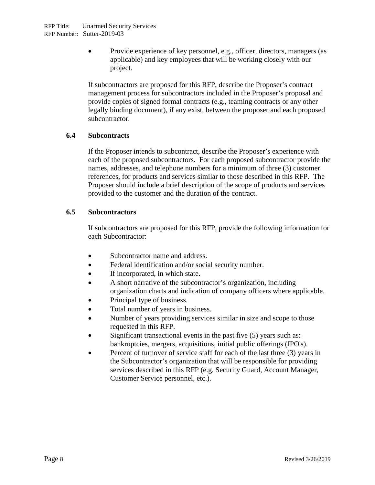• Provide experience of key personnel, e.g., officer, directors, managers (as applicable) and key employees that will be working closely with our project.

If subcontractors are proposed for this RFP, describe the Proposer's contract management process for subcontractors included in the Proposer's proposal and provide copies of signed formal contracts (e.g., teaming contracts or any other legally binding document), if any exist, between the proposer and each proposed subcontractor.

#### **6.4 Subcontracts**

If the Proposer intends to subcontract, describe the Proposer's experience with each of the proposed subcontractors. For each proposed subcontractor provide the names, addresses, and telephone numbers for a minimum of three (3) customer references, for products and services similar to those described in this RFP. The Proposer should include a brief description of the scope of products and services provided to the customer and the duration of the contract.

#### **6.5 Subcontractors**

If subcontractors are proposed for this RFP, provide the following information for each Subcontractor:

- Subcontractor name and address.
- Federal identification and/or social security number.
- If incorporated, in which state.
- A short narrative of the subcontractor's organization, including organization charts and indication of company officers where applicable.
- Principal type of business.
- Total number of years in business.
- Number of years providing services similar in size and scope to those requested in this RFP.
- Significant transactional events in the past five (5) years such as: bankruptcies, mergers, acquisitions, initial public offerings (IPO's).
- Percent of turnover of service staff for each of the last three (3) years in the Subcontractor's organization that will be responsible for providing services described in this RFP (e.g. Security Guard, Account Manager, Customer Service personnel, etc.).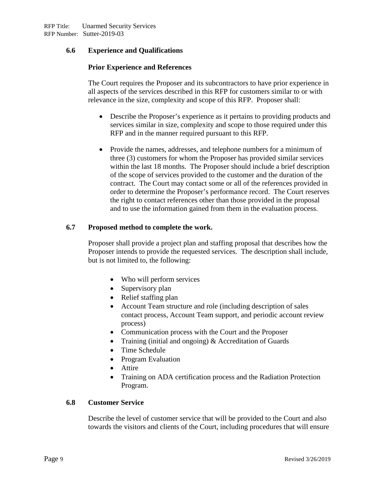## **6.6 Experience and Qualifications**

#### **Prior Experience and References**

The Court requires the Proposer and its subcontractors to have prior experience in all aspects of the services described in this RFP for customers similar to or with relevance in the size, complexity and scope of this RFP. Proposer shall:

- Describe the Proposer's experience as it pertains to providing products and services similar in size, complexity and scope to those required under this RFP and in the manner required pursuant to this RFP.
- Provide the names, addresses, and telephone numbers for a minimum of three (3) customers for whom the Proposer has provided similar services within the last 18 months. The Proposer should include a brief description of the scope of services provided to the customer and the duration of the contract. The Court may contact some or all of the references provided in order to determine the Proposer's performance record. The Court reserves the right to contact references other than those provided in the proposal and to use the information gained from them in the evaluation process.

#### **6.7 Proposed method to complete the work.**

Proposer shall provide a project plan and staffing proposal that describes how the Proposer intends to provide the requested services. The description shall include, but is not limited to, the following:

- Who will perform services
- Supervisory plan
- Relief staffing plan
- Account Team structure and role (including description of sales contact process, Account Team support, and periodic account review process)
- Communication process with the Court and the Proposer
- Training (initial and ongoing) & Accreditation of Guards
- Time Schedule
- Program Evaluation
- Attire
- Training on ADA certification process and the Radiation Protection Program.

#### **6.8 Customer Service**

Describe the level of customer service that will be provided to the Court and also towards the visitors and clients of the Court, including procedures that will ensure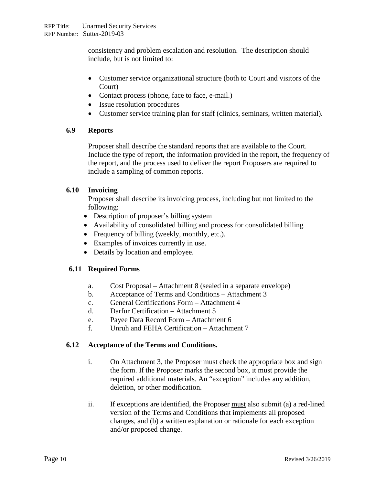consistency and problem escalation and resolution. The description should include, but is not limited to:

- Customer service organizational structure (both to Court and visitors of the Court)
- Contact process (phone, face to face, e-mail.)
- Issue resolution procedures
- Customer service training plan for staff (clinics, seminars, written material).

## **6.9 Reports**

Proposer shall describe the standard reports that are available to the Court. Include the type of report, the information provided in the report, the frequency of the report, and the process used to deliver the report Proposers are required to include a sampling of common reports.

## **6.10 Invoicing**

Proposer shall describe its invoicing process, including but not limited to the following:

- Description of proposer's billing system
- Availability of consolidated billing and process for consolidated billing
- Frequency of billing (weekly, monthly, etc.).
- Examples of invoices currently in use.
- Details by location and employee.

# **6.11 Required Forms**

- a. Cost Proposal Attachment 8 (sealed in a separate envelope)
- b. Acceptance of Terms and Conditions Attachment 3
- c. General Certifications Form Attachment 4
- d. Darfur Certification Attachment 5
- e. Payee Data Record Form Attachment 6
- f. Unruh and FEHA Certification Attachment 7

## **6.12 Acceptance of the Terms and Conditions.**

- i. On Attachment 3, the Proposer must check the appropriate box and sign the form. If the Proposer marks the second box, it must provide the required additional materials. An "exception" includes any addition, deletion, or other modification.
- ii. If exceptions are identified, the Proposer must also submit (a) a red-lined version of the Terms and Conditions that implements all proposed changes, and (b) a written explanation or rationale for each exception and/or proposed change.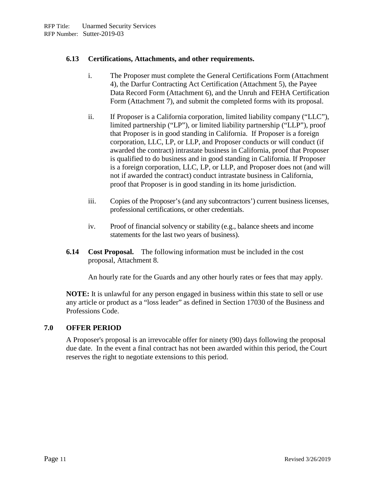## **6.13 Certifications, Attachments, and other requirements.**

- i. The Proposer must complete the General Certifications Form (Attachment 4), the Darfur Contracting Act Certification (Attachment 5), the Payee Data Record Form (Attachment 6), and the Unruh and FEHA Certification Form (Attachment 7), and submit the completed forms with its proposal.
- ii. If Proposer is a California corporation, limited liability company ("LLC"), limited partnership ("LP"), or limited liability partnership ("LLP"), proof that Proposer is in good standing in California. If Proposer is a foreign corporation, LLC, LP, or LLP, and Proposer conducts or will conduct (if awarded the contract) intrastate business in California, proof that Proposer is qualified to do business and in good standing in California. If Proposer is a foreign corporation, LLC, LP, or LLP, and Proposer does not (and will not if awarded the contract) conduct intrastate business in California, proof that Proposer is in good standing in its home jurisdiction.
- iii. Copies of the Proposer's (and any subcontractors') current business licenses, professional certifications, or other credentials.
- iv. Proof of financial solvency or stability (e.g., balance sheets and income statements for the last two years of business).
- **6.14 Cost Proposal.** The following information must be included in the cost proposal, Attachment 8.

An hourly rate for the Guards and any other hourly rates or fees that may apply.

**NOTE:** It is unlawful for any person engaged in business within this state to sell or use any article or product as a "loss leader" as defined in Section 17030 of the Business and Professions Code.

## **7.0 OFFER PERIOD**

A Proposer's proposal is an irrevocable offer for ninety (90) days following the proposal due date. In the event a final contract has not been awarded within this period, the Court reserves the right to negotiate extensions to this period.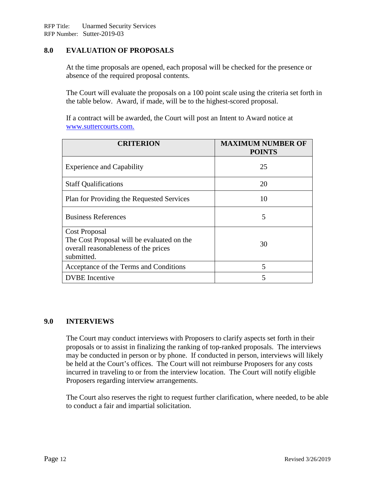## **8.0 EVALUATION OF PROPOSALS**

At the time proposals are opened, each proposal will be checked for the presence or absence of the required proposal contents.

The Court will evaluate the proposals on a 100 point scale using the criteria set forth in the table below. Award, if made, will be to the highest-scored proposal.

If a contract will be awarded, the Court will post an Intent to Award notice at [www.suttercourts.com.](http://sonoma.courts.ca.gov/info/purchasing)

| <b>CRITERION</b>                                                                                                  | <b>MAXIMUM NUMBER OF</b><br><b>POINTS</b> |
|-------------------------------------------------------------------------------------------------------------------|-------------------------------------------|
| <b>Experience and Capability</b>                                                                                  | 25                                        |
| <b>Staff Qualifications</b>                                                                                       | 20                                        |
| Plan for Providing the Requested Services                                                                         | 10                                        |
| <b>Business References</b>                                                                                        | 5                                         |
| Cost Proposal<br>The Cost Proposal will be evaluated on the<br>overall reasonableness of the prices<br>submitted. | 30                                        |
| Acceptance of the Terms and Conditions                                                                            | 5                                         |
| <b>DVBE</b> Incentive                                                                                             | 5                                         |

#### **9.0 INTERVIEWS**

The Court may conduct interviews with Proposers to clarify aspects set forth in their proposals or to assist in finalizing the ranking of top-ranked proposals. The interviews may be conducted in person or by phone. If conducted in person, interviews will likely be held at the Court's offices. The Court will not reimburse Proposers for any costs incurred in traveling to or from the interview location. The Court will notify eligible Proposers regarding interview arrangements.

The Court also reserves the right to request further clarification, where needed, to be able to conduct a fair and impartial solicitation.